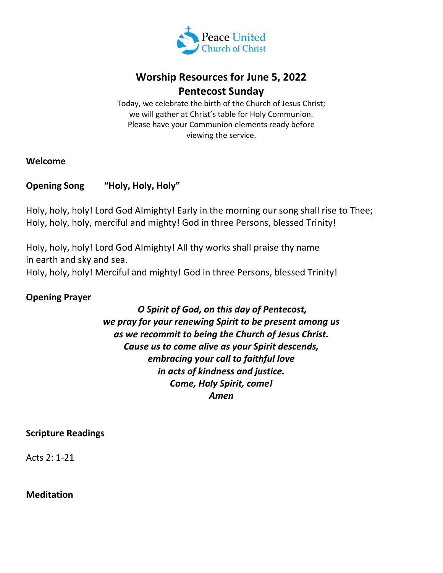

# Worship Resources for June 5, 2022 Pentecost Sunday

Today, we celebrate the birth of the Church of Jesus Christ; we will gather at Christ's table for Holy Communion. Please have your Communion elements ready before viewing the service.

#### Welcome

# Opening Song "Holy, Holy, Holy"

Holy, holy, holy! Lord God Almighty! Early in the morning our song shall rise to Thee; Holy, holy, holy, merciful and mighty! God in three Persons, blessed Trinity!

Holy, holy, holy! Lord God Almighty! All thy works shall praise thy name in earth and sky and sea. Holy, holy, holy! Merciful and mighty! God in three Persons, blessed Trinity!

### Opening Prayer

 O Spirit of God, on this day of Pentecost, we pray for your renewing Spirit to be present among us as we recommit to being the Church of Jesus Christ. Cause us to come alive as your Spirit descends, embracing your call to faithful love in acts of kindness and justice. Come, Holy Spirit, come! Amen

#### Scripture Readings

Acts 2: 1-21

Meditation